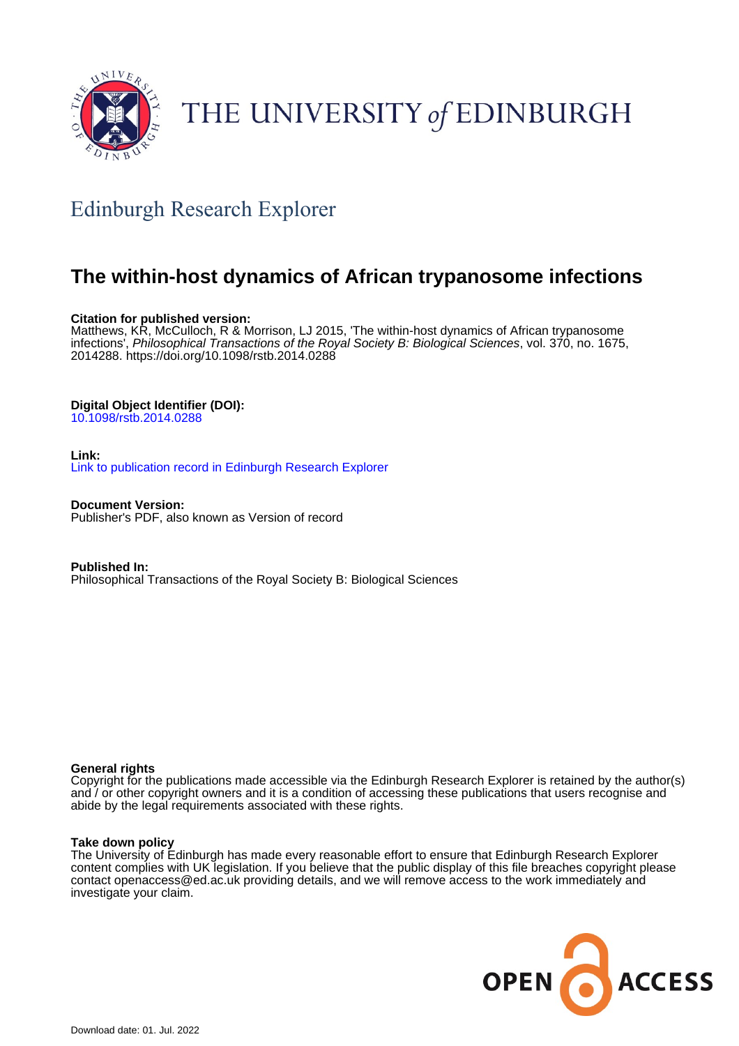

# THE UNIVERSITY of EDINBURGH

# Edinburgh Research Explorer

## **The within-host dynamics of African trypanosome infections**

#### **Citation for published version:**

Matthews, KR, McCulloch, R & Morrison, LJ 2015, 'The within-host dynamics of African trypanosome infections', Philosophical Transactions of the Royal Society B: Biological Sciences, vol. 370, no. 1675, 2014288.<https://doi.org/10.1098/rstb.2014.0288>

#### **Digital Object Identifier (DOI):**

[10.1098/rstb.2014.0288](https://doi.org/10.1098/rstb.2014.0288)

**Link:**

[Link to publication record in Edinburgh Research Explorer](https://www.research.ed.ac.uk/en/publications/96690701-7dd8-4eca-bd84-933877eb803a)

**Document Version:** Publisher's PDF, also known as Version of record

**Published In:** Philosophical Transactions of the Royal Society B: Biological Sciences

#### **General rights**

Copyright for the publications made accessible via the Edinburgh Research Explorer is retained by the author(s) and / or other copyright owners and it is a condition of accessing these publications that users recognise and abide by the legal requirements associated with these rights.

#### **Take down policy**

The University of Edinburgh has made every reasonable effort to ensure that Edinburgh Research Explorer content complies with UK legislation. If you believe that the public display of this file breaches copyright please contact openaccess@ed.ac.uk providing details, and we will remove access to the work immediately and investigate your claim.

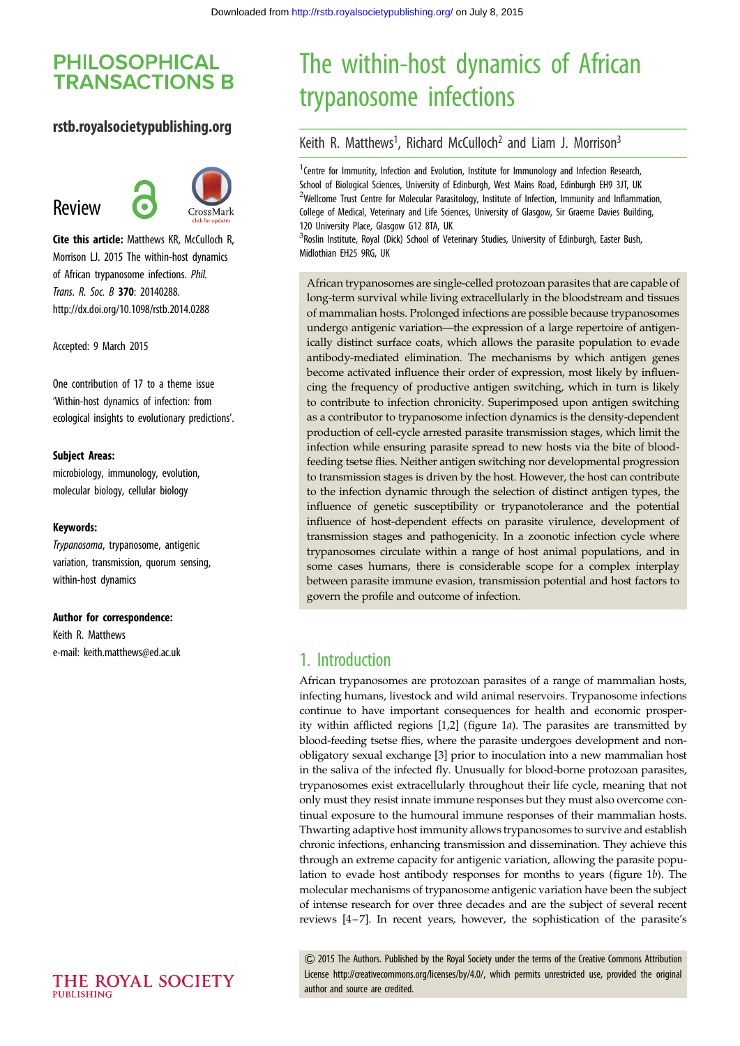## **PHILOSOPHICAL TRANSACTIONS B**

### rstb.royalsocietypublishing.org

# Review



**Cite this article:** Matthews KR, McCulloch R, Morrison LJ. 2015 The within-host dynamics of African trypanosome infections. Phil. Trans. R. Soc. B 370: 20140288. http://dx.doi.org/10.1098/rstb.2014.0288

Accepted: 9 March 2015

One contribution of 17 to a theme issue 'Within-host dynamics of infection: from ecological insights to evolutionary predictions'.

#### Subject Areas:

microbiology, immunology, evolution, molecular biology, cellular biology

#### Keywords:

Trypanosoma, trypanosome, antigenic variation, transmission, quorum sensing, within-host dynamics

#### Author for correspondence:

Keith R. Matthews e-mail: [keith.matthews@ed.ac.uk](mailto:keith.matthews@ed.ac.uk)

# The within-host dynamics of African trypanosome infections

Keith R. Matthews<sup>1</sup>, Richard McCulloch<sup>2</sup> and Liam J. Morrison<sup>3</sup>

<sup>1</sup> Centre for Immunity, Infection and Evolution, Institute for Immunology and Infection Research, School of Biological Sciences, University of Edinburgh, West Mains Road, Edinburgh EH9 3JT, UK <sup>2</sup>Wellcome Trust Centre for Molecular Parasitology, Institute of Infection, Immunity and Inflammation, College of Medical, Veterinary and Life Sciences, University of Glasgow, Sir Graeme Davies Building, 120 University Place, Glasgow G12 8TA, UK

<sup>3</sup> Roslin Institute, Royal (Dick) School of Veterinary Studies, University of Edinburgh, Easter Bush, Midlothian EH25 9RG, UK

African trypanosomes are single-celled protozoan parasites that are capable of long-term survival while living extracellularly in the bloodstream and tissues of mammalian hosts. Prolonged infections are possible because trypanosomes undergo antigenic variation—the expression of a large repertoire of antigenically distinct surface coats, which allows the parasite population to evade antibody-mediated elimination. The mechanisms by which antigen genes become activated influence their order of expression, most likely by influencing the frequency of productive antigen switching, which in turn is likely to contribute to infection chronicity. Superimposed upon antigen switching as a contributor to trypanosome infection dynamics is the density-dependent production of cell-cycle arrested parasite transmission stages, which limit the infection while ensuring parasite spread to new hosts via the bite of bloodfeeding tsetse flies. Neither antigen switching nor developmental progression to transmission stages is driven by the host. However, the host can contribute to the infection dynamic through the selection of distinct antigen types, the influence of genetic susceptibility or trypanotolerance and the potential influence of host-dependent effects on parasite virulence, development of transmission stages and pathogenicity. In a zoonotic infection cycle where trypanosomes circulate within a range of host animal populations, and in some cases humans, there is considerable scope for a complex interplay between parasite immune evasion, transmission potential and host factors to govern the profile and outcome of infection.

## 1. Introduction

African trypanosomes are protozoan parasites of a range of mammalian hosts, infecting humans, livestock and wild animal reservoirs. Trypanosome infections continue to have important consequences for health and economic prosperity within afflicted regions [\[1,2](#page-8-0)] [\(figure 1](#page-2-0)a). The parasites are transmitted by blood-feeding tsetse flies, where the parasite undergoes development and nonobligatory sexual exchange [[3](#page-8-0)] prior to inoculation into a new mammalian host in the saliva of the infected fly. Unusually for blood-borne protozoan parasites, trypanosomes exist extracellularly throughout their life cycle, meaning that not only must they resist innate immune responses but they must also overcome continual exposure to the humoural immune responses of their mammalian hosts. Thwarting adaptive host immunity allows trypanosomes to survive and establish chronic infections, enhancing transmission and dissemination. They achieve this through an extreme capacity for antigenic variation, allowing the parasite population to evade host antibody responses for months to years [\(figure 1](#page-2-0)b). The molecular mechanisms of trypanosome antigenic variation have been the subject of intense research for over three decades and are the subject of several recent reviews [\[4](#page-8-0)–[7\]](#page-8-0). In recent years, however, the sophistication of the parasite's

& 2015 The Authors. Published by the Royal Society under the terms of the Creative Commons Attribution License http://creativecommons.org/licenses/by/4.0/, which permits unrestricted use, provided the original author and source are credited.

THE ROYAL SOCIETY PURLISHING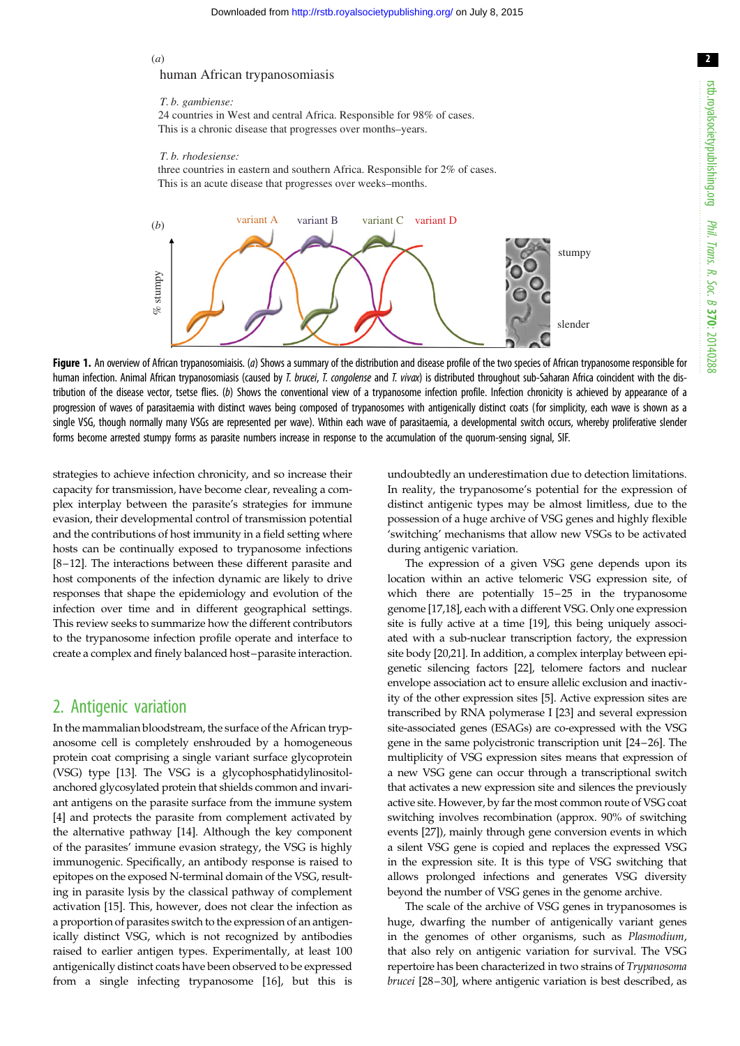2

#### <span id="page-2-0"></span>(*a*)

#### human African trypanosomiasis

#### *T. b. gambiense:*

24 countries in West and central Africa. Responsible for 98% of cases. This is a chronic disease that progresses over months–years.

#### *T. b. rhodesiense:*

three countries in eastern and southern Africa. Responsible for 2% of cases. This is an acute disease that progresses over weeks–months.



Figure 1. An overview of African trypanosomiaisis. (a) Shows a summary of the distribution and disease profile of the two species of African trypanosome responsible for human infection. Animal African trypanosomiasis (caused by T. brucei, T. congolense and T. vivax) is distributed throughout sub-Saharan Africa coincident with the distribution of the disease vector, tsetse flies. (b) Shows the conventional view of a trypanosome infection profile. Infection chronicity is achieved by appearance of a progression of waves of parasitaemia with distinct waves being composed of trypanosomes with antigenically distinct coats (for simplicity, each wave is shown as a single VSG, though normally many VSGs are represented per wave). Within each wave of parasitaemia, a developmental switch occurs, whereby proliferative slender forms become arrested stumpy forms as parasite numbers increase in response to the accumulation of the quorum-sensing signal, SIF.

strategies to achieve infection chronicity, and so increase their capacity for transmission, have become clear, revealing a complex interplay between the parasite's strategies for immune evasion, their developmental control of transmission potential and the contributions of host immunity in a field setting where hosts can be continually exposed to trypanosome infections [\[8](#page-8-0)–[12](#page-8-0)]. The interactions between these different parasite and host components of the infection dynamic are likely to drive responses that shape the epidemiology and evolution of the infection over time and in different geographical settings. This review seeks to summarize how the different contributors to the trypanosome infection profile operate and interface to create a complex and finely balanced host–parasite interaction.

## 2. Antigenic variation

In the mammalian bloodstream, the surface of the African trypanosome cell is completely enshrouded by a homogeneous protein coat comprising a single variant surface glycoprotein (VSG) type [\[13](#page-8-0)]. The VSG is a glycophosphatidylinositolanchored glycosylated protein that shields common and invariant antigens on the parasite surface from the immune system [\[4\]](#page-8-0) and protects the parasite from complement activated by the alternative pathway [\[14](#page-8-0)]. Although the key component of the parasites' immune evasion strategy, the VSG is highly immunogenic. Specifically, an antibody response is raised to epitopes on the exposed N-terminal domain of the VSG, resulting in parasite lysis by the classical pathway of complement activation [[15\]](#page-8-0). This, however, does not clear the infection as a proportion of parasites switch to the expression of an antigenically distinct VSG, which is not recognized by antibodies raised to earlier antigen types. Experimentally, at least 100 antigenically distinct coats have been observed to be expressed from a single infecting trypanosome [[16](#page-8-0)], but this is

undoubtedly an underestimation due to detection limitations. In reality, the trypanosome's potential for the expression of distinct antigenic types may be almost limitless, due to the possession of a huge archive of VSG genes and highly flexible 'switching' mechanisms that allow new VSGs to be activated during antigenic variation.

The expression of a given VSG gene depends upon its location within an active telomeric VSG expression site, of which there are potentially 15–25 in the trypanosome genome [\[17,18](#page-8-0)], each with a different VSG. Only one expression site is fully active at a time [[19](#page-8-0)], this being uniquely associated with a sub-nuclear transcription factory, the expression site body [[20,21\]](#page-8-0). In addition, a complex interplay between epigenetic silencing factors [\[22](#page-8-0)], telomere factors and nuclear envelope association act to ensure allelic exclusion and inactivity of the other expression sites [\[5\]](#page-8-0). Active expression sites are transcribed by RNA polymerase I [\[23\]](#page-8-0) and several expression site-associated genes (ESAGs) are co-expressed with the VSG gene in the same polycistronic transcription unit [\[24](#page-9-0)–[26](#page-9-0)]. The multiplicity of VSG expression sites means that expression of a new VSG gene can occur through a transcriptional switch that activates a new expression site and silences the previously active site. However, by far the most common route of VSG coat switching involves recombination (approx. 90% of switching events [\[27\]](#page-9-0)), mainly through gene conversion events in which a silent VSG gene is copied and replaces the expressed VSG in the expression site. It is this type of VSG switching that allows prolonged infections and generates VSG diversity beyond the number of VSG genes in the genome archive.

The scale of the archive of VSG genes in trypanosomes is huge, dwarfing the number of antigenically variant genes in the genomes of other organisms, such as Plasmodium, that also rely on antigenic variation for survival. The VSG repertoire has been characterized in two strains of Trypanosoma brucei [[28](#page-9-0)–[30\]](#page-9-0), where antigenic variation is best described, as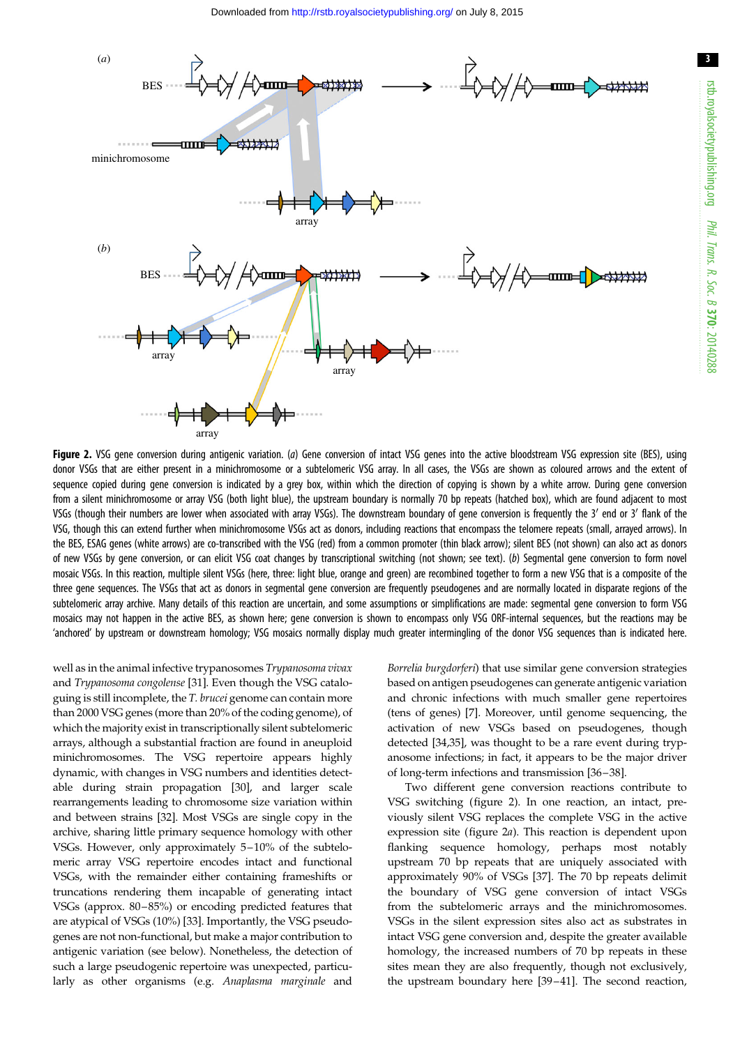3

<span id="page-3-0"></span>

Figure 2. VSG gene conversion during antigenic variation. (a) Gene conversion of intact VSG genes into the active bloodstream VSG expression site (BES), using donor VSGs that are either present in a minichromosome or a subtelomeric VSG array. In all cases, the VSGs are shown as coloured arrows and the extent of sequence copied during gene conversion is indicated by a grey box, within which the direction of copying is shown by a white arrow. During gene conversion from a silent minichromosome or array VSG (both light blue), the upstream boundary is normally 70 bp repeats (hatched box), which are found adjacent to most VSGs (though their numbers are lower when associated with array VSGs). The downstream boundary of gene conversion is frequently the 3' end or 3' flank of the VSG, though this can extend further when minichromosome VSGs act as donors, including reactions that encompass the telomere repeats (small, arrayed arrows). In the BES, ESAG genes (white arrows) are co-transcribed with the VSG (red) from a common promoter (thin black arrow); silent BES (not shown) can also act as donors of new VSGs by gene conversion, or can elicit VSG coat changes by transcriptional switching (not shown; see text). (b) Segmental gene conversion to form novel mosaic VSGs. In this reaction, multiple silent VSGs (here, three: light blue, orange and green) are recombined together to form a new VSG that is a composite of the three gene sequences. The VSGs that act as donors in segmental gene conversion are frequently pseudogenes and are normally located in disparate regions of the subtelomeric array archive. Many details of this reaction are uncertain, and some assumptions or simplifications are made: segmental gene conversion to form VSG mosaics may not happen in the active BES, as shown here; gene conversion is shown to encompass only VSG ORF-internal sequences, but the reactions may be 'anchored' by upstream or downstream homology; VSG mosaics normally display much greater intermingling of the donor VSG sequences than is indicated here.

well as in the animal infective trypanosomes Trypanosoma vivax and Trypanosoma congolense [\[31](#page-9-0)]. Even though the VSG cataloguing is still incomplete, the T. brucei genome can contain more than 2000 VSG genes (more than 20% of the coding genome), of which the majority exist in transcriptionally silent subtelomeric arrays, although a substantial fraction are found in aneuploid minichromosomes. The VSG repertoire appears highly dynamic, with changes in VSG numbers and identities detectable during strain propagation [\[30](#page-9-0)], and larger scale rearrangements leading to chromosome size variation within and between strains [\[32](#page-9-0)]. Most VSGs are single copy in the archive, sharing little primary sequence homology with other VSGs. However, only approximately 5–10% of the subtelomeric array VSG repertoire encodes intact and functional VSGs, with the remainder either containing frameshifts or truncations rendering them incapable of generating intact VSGs (approx. 80–85%) or encoding predicted features that are atypical of VSGs (10%) [\[33](#page-9-0)]. Importantly, the VSG pseudogenes are not non-functional, but make a major contribution to antigenic variation (see below). Nonetheless, the detection of such a large pseudogenic repertoire was unexpected, particularly as other organisms (e.g. Anaplasma marginale and

Borrelia burgdorferi) that use similar gene conversion strategies based on antigen pseudogenes can generate antigenic variation and chronic infections with much smaller gene repertoires (tens of genes) [\[7\]](#page-8-0). Moreover, until genome sequencing, the activation of new VSGs based on pseudogenes, though detected [[34](#page-9-0),[35\]](#page-9-0), was thought to be a rare event during trypanosome infections; in fact, it appears to be the major driver of long-term infections and transmission [\[36](#page-9-0)–[38](#page-9-0)].

Two different gene conversion reactions contribute to VSG switching (figure 2). In one reaction, an intact, previously silent VSG replaces the complete VSG in the active expression site (figure 2a). This reaction is dependent upon flanking sequence homology, perhaps most notably upstream 70 bp repeats that are uniquely associated with approximately 90% of VSGs [\[37\]](#page-9-0). The 70 bp repeats delimit the boundary of VSG gene conversion of intact VSGs from the subtelomeric arrays and the minichromosomes. VSGs in the silent expression sites also act as substrates in intact VSG gene conversion and, despite the greater available homology, the increased numbers of 70 bp repeats in these sites mean they are also frequently, though not exclusively, the upstream boundary here [[39](#page-9-0) –[41\]](#page-9-0). The second reaction,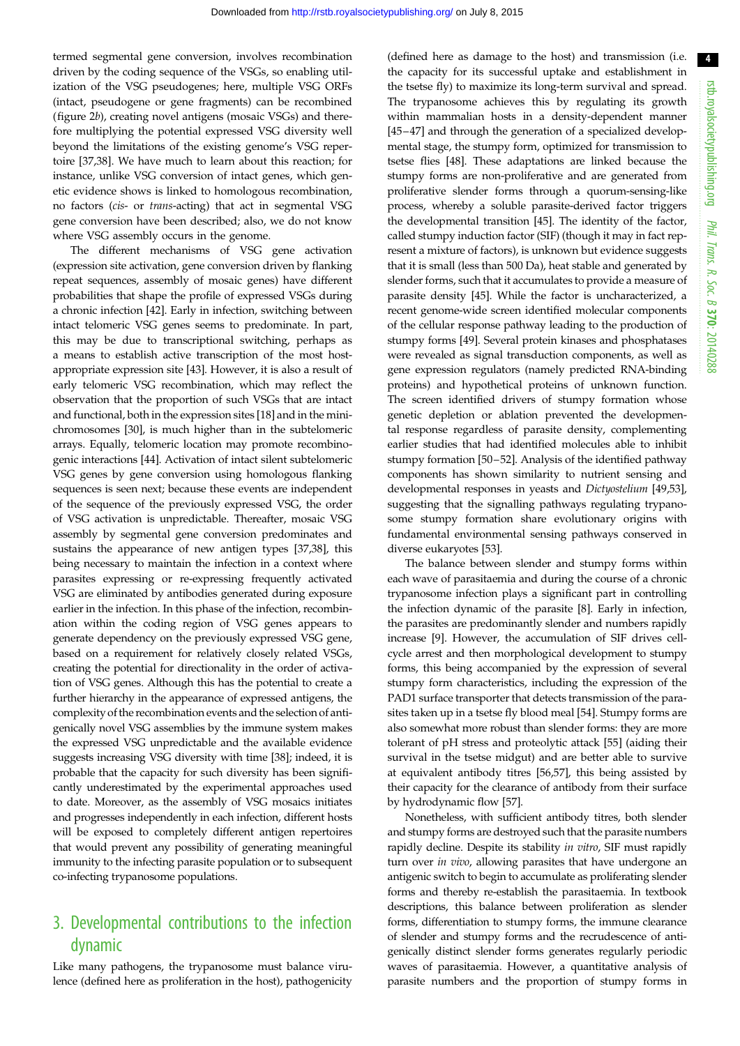termed segmental gene conversion, involves recombination driven by the coding sequence of the VSGs, so enabling utilization of the VSG pseudogenes; here, multiple VSG ORFs (intact, pseudogene or gene fragments) can be recombined [\(figure 2](#page-3-0)b), creating novel antigens (mosaic VSGs) and therefore multiplying the potential expressed VSG diversity well beyond the limitations of the existing genome's VSG repertoire [\[37](#page-9-0),[38\]](#page-9-0). We have much to learn about this reaction; for instance, unlike VSG conversion of intact genes, which genetic evidence shows is linked to homologous recombination, no factors (cis- or trans-acting) that act in segmental VSG gene conversion have been described; also, we do not know where VSG assembly occurs in the genome.

The different mechanisms of VSG gene activation (expression site activation, gene conversion driven by flanking repeat sequences, assembly of mosaic genes) have different probabilities that shape the profile of expressed VSGs during a chronic infection [\[42](#page-9-0)]. Early in infection, switching between intact telomeric VSG genes seems to predominate. In part, this may be due to transcriptional switching, perhaps as a means to establish active transcription of the most hostappropriate expression site [[43\]](#page-9-0). However, it is also a result of early telomeric VSG recombination, which may reflect the observation that the proportion of such VSGs that are intact and functional, both in the expression sites [\[18](#page-8-0)] and in the minichromosomes [\[30\]](#page-9-0), is much higher than in the subtelomeric arrays. Equally, telomeric location may promote recombinogenic interactions [\[44](#page-9-0)]. Activation of intact silent subtelomeric VSG genes by gene conversion using homologous flanking sequences is seen next; because these events are independent of the sequence of the previously expressed VSG, the order of VSG activation is unpredictable. Thereafter, mosaic VSG assembly by segmental gene conversion predominates and sustains the appearance of new antigen types [[37](#page-9-0),[38\]](#page-9-0), this being necessary to maintain the infection in a context where parasites expressing or re-expressing frequently activated VSG are eliminated by antibodies generated during exposure earlier in the infection. In this phase of the infection, recombination within the coding region of VSG genes appears to generate dependency on the previously expressed VSG gene, based on a requirement for relatively closely related VSGs, creating the potential for directionality in the order of activation of VSG genes. Although this has the potential to create a further hierarchy in the appearance of expressed antigens, the complexity of the recombination events and the selection of antigenically novel VSG assemblies by the immune system makes the expressed VSG unpredictable and the available evidence suggests increasing VSG diversity with time [\[38\]](#page-9-0); indeed, it is probable that the capacity for such diversity has been significantly underestimated by the experimental approaches used to date. Moreover, as the assembly of VSG mosaics initiates and progresses independently in each infection, different hosts will be exposed to completely different antigen repertoires that would prevent any possibility of generating meaningful immunity to the infecting parasite population or to subsequent co-infecting trypanosome populations.

## 3. Developmental contributions to the infection dynamic

Like many pathogens, the trypanosome must balance virulence (defined here as proliferation in the host), pathogenicity (defined here as damage to the host) and transmission (i.e. the capacity for its successful uptake and establishment in the tsetse fly) to maximize its long-term survival and spread. The trypanosome achieves this by regulating its growth within mammalian hosts in a density-dependent manner [[45](#page-9-0)–[47\]](#page-9-0) and through the generation of a specialized developmental stage, the stumpy form, optimized for transmission to tsetse flies [[48\]](#page-9-0). These adaptations are linked because the stumpy forms are non-proliferative and are generated from proliferative slender forms through a quorum-sensing-like process, whereby a soluble parasite-derived factor triggers the developmental transition [\[45](#page-9-0)]. The identity of the factor, called stumpy induction factor (SIF) (though it may in fact represent a mixture of factors), is unknown but evidence suggests that it is small (less than 500 Da), heat stable and generated by slender forms, such that it accumulates to provide a measure of parasite density [\[45](#page-9-0)]. While the factor is uncharacterized, a recent genome-wide screen identified molecular components of the cellular response pathway leading to the production of stumpy forms [[49\]](#page-9-0). Several protein kinases and phosphatases were revealed as signal transduction components, as well as gene expression regulators (namely predicted RNA-binding proteins) and hypothetical proteins of unknown function. The screen identified drivers of stumpy formation whose genetic depletion or ablation prevented the developmental response regardless of parasite density, complementing earlier studies that had identified molecules able to inhibit stumpy formation [\[50](#page-9-0)–[52](#page-9-0)]. Analysis of the identified pathway components has shown similarity to nutrient sensing and developmental responses in yeasts and Dictyostelium [[49,53\]](#page-9-0), suggesting that the signalling pathways regulating trypanosome stumpy formation share evolutionary origins with fundamental environmental sensing pathways conserved in diverse eukaryotes [\[53](#page-9-0)].

The balance between slender and stumpy forms within each wave of parasitaemia and during the course of a chronic trypanosome infection plays a significant part in controlling the infection dynamic of the parasite [[8](#page-8-0)]. Early in infection, the parasites are predominantly slender and numbers rapidly increase [\[9\]](#page-8-0). However, the accumulation of SIF drives cellcycle arrest and then morphological development to stumpy forms, this being accompanied by the expression of several stumpy form characteristics, including the expression of the PAD1 surface transporter that detects transmission of the parasites taken up in a tsetse fly blood meal [\[54](#page-9-0)]. Stumpy forms are also somewhat more robust than slender forms: they are more tolerant of pH stress and proteolytic attack [[55\]](#page-9-0) (aiding their survival in the tsetse midgut) and are better able to survive at equivalent antibody titres [\[56,57](#page-9-0)], this being assisted by their capacity for the clearance of antibody from their surface by hydrodynamic flow [\[57](#page-9-0)].

Nonetheless, with sufficient antibody titres, both slender and stumpy forms are destroyed such that the parasite numbers rapidly decline. Despite its stability in vitro, SIF must rapidly turn over in vivo, allowing parasites that have undergone an antigenic switch to begin to accumulate as proliferating slender forms and thereby re-establish the parasitaemia. In textbook descriptions, this balance between proliferation as slender forms, differentiation to stumpy forms, the immune clearance of slender and stumpy forms and the recrudescence of antigenically distinct slender forms generates regularly periodic waves of parasitaemia. However, a quantitative analysis of parasite numbers and the proportion of stumpy forms in 4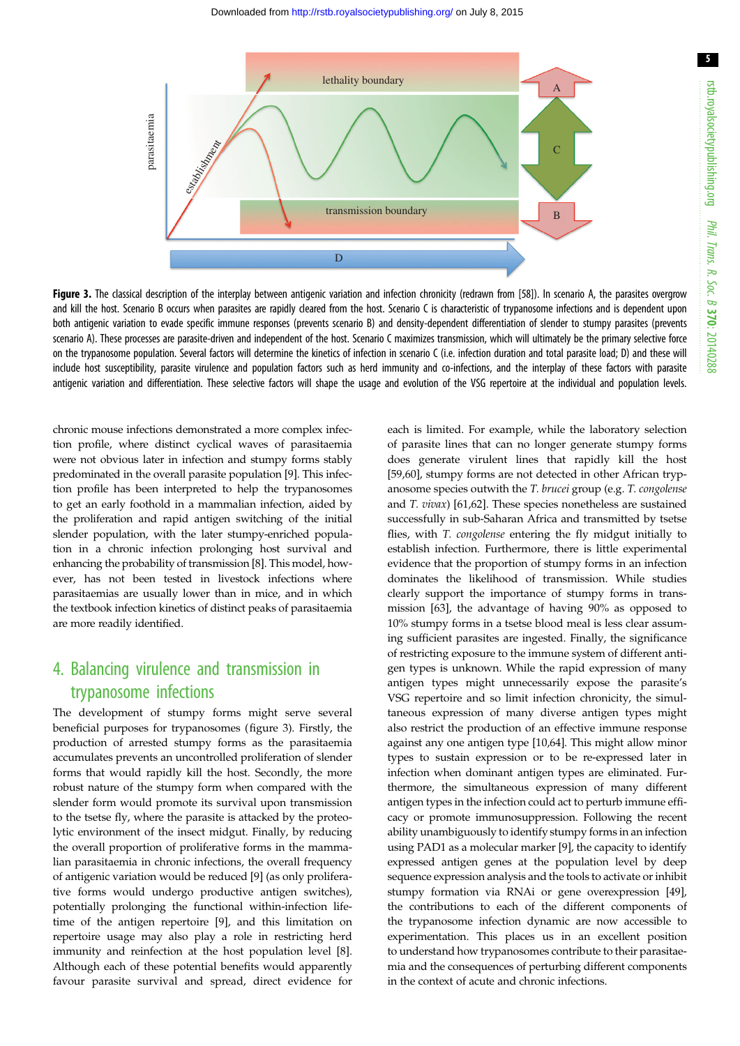

Figure 3. The classical description of the interplay between antigenic variation and infection chronicity (redrawn from [[58](#page-9-0)]). In scenario A, the parasites overgrow and kill the host. Scenario B occurs when parasites are rapidly cleared from the host. Scenario C is characteristic of trypanosome infections and is dependent upon both antigenic variation to evade specific immune responses (prevents scenario B) and density-dependent differentiation of slender to stumpy parasites (prevents scenario A). These processes are parasite-driven and independent of the host. Scenario C maximizes transmission, which will ultimately be the primary selective force on the trypanosome population. Several factors will determine the kinetics of infection in scenario C (i.e. infection duration and total parasite load; D) and these will include host susceptibility, parasite virulence and population factors such as herd immunity and co-infections, and the interplay of these factors with parasite antigenic variation and differentiation. These selective factors will shape the usage and evolution of the VSG repertoire at the individual and population levels.

chronic mouse infections demonstrated a more complex infection profile, where distinct cyclical waves of parasitaemia were not obvious later in infection and stumpy forms stably predominated in the overall parasite population [[9](#page-8-0)]. This infection profile has been interpreted to help the trypanosomes to get an early foothold in a mammalian infection, aided by the proliferation and rapid antigen switching of the initial slender population, with the later stumpy-enriched population in a chronic infection prolonging host survival and enhancing the probability of transmission [\[8\]](#page-8-0). This model, however, has not been tested in livestock infections where parasitaemias are usually lower than in mice, and in which the textbook infection kinetics of distinct peaks of parasitaemia are more readily identified.

## 4. Balancing virulence and transmission in trypanosome infections

The development of stumpy forms might serve several beneficial purposes for trypanosomes (figure 3). Firstly, the production of arrested stumpy forms as the parasitaemia accumulates prevents an uncontrolled proliferation of slender forms that would rapidly kill the host. Secondly, the more robust nature of the stumpy form when compared with the slender form would promote its survival upon transmission to the tsetse fly, where the parasite is attacked by the proteolytic environment of the insect midgut. Finally, by reducing the overall proportion of proliferative forms in the mammalian parasitaemia in chronic infections, the overall frequency of antigenic variation would be reduced [\[9\]](#page-8-0) (as only proliferative forms would undergo productive antigen switches), potentially prolonging the functional within-infection lifetime of the antigen repertoire [[9\]](#page-8-0), and this limitation on repertoire usage may also play a role in restricting herd immunity and reinfection at the host population level [[8](#page-8-0)]. Although each of these potential benefits would apparently favour parasite survival and spread, direct evidence for

each is limited. For example, while the laboratory selection of parasite lines that can no longer generate stumpy forms does generate virulent lines that rapidly kill the host [[59,60\]](#page-9-0), stumpy forms are not detected in other African trypanosome species outwith the T. brucei group (e.g. T. congolense and T. vivax) [[61,62](#page-9-0)]. These species nonetheless are sustained successfully in sub-Saharan Africa and transmitted by tsetse flies, with T. congolense entering the fly midgut initially to establish infection. Furthermore, there is little experimental evidence that the proportion of stumpy forms in an infection dominates the likelihood of transmission. While studies clearly support the importance of stumpy forms in transmission [\[63](#page-9-0)], the advantage of having 90% as opposed to 10% stumpy forms in a tsetse blood meal is less clear assuming sufficient parasites are ingested. Finally, the significance of restricting exposure to the immune system of different antigen types is unknown. While the rapid expression of many antigen types might unnecessarily expose the parasite's VSG repertoire and so limit infection chronicity, the simultaneous expression of many diverse antigen types might also restrict the production of an effective immune response against any one antigen type [\[10](#page-8-0)[,64](#page-9-0)]. This might allow minor types to sustain expression or to be re-expressed later in infection when dominant antigen types are eliminated. Furthermore, the simultaneous expression of many different antigen types in the infection could act to perturb immune efficacy or promote immunosuppression. Following the recent ability unambiguously to identify stumpy forms in an infection using PAD1 as a molecular marker [\[9\]](#page-8-0), the capacity to identify expressed antigen genes at the population level by deep sequence expression analysis and the tools to activate or inhibit stumpy formation via RNAi or gene overexpression [[49\]](#page-9-0), the contributions to each of the different components of the trypanosome infection dynamic are now accessible to experimentation. This places us in an excellent position to understand how trypanosomes contribute to their parasitaemia and the consequences of perturbing different components in the context of acute and chronic infections.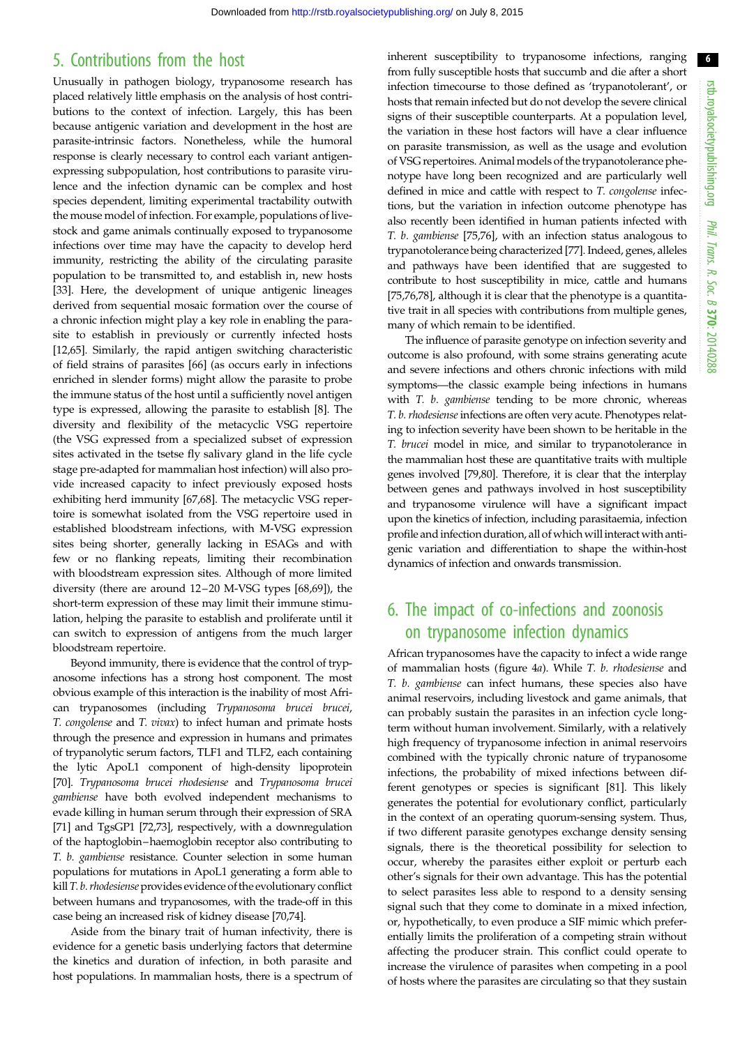## 5. Contributions from the host

Unusually in pathogen biology, trypanosome research has placed relatively little emphasis on the analysis of host contributions to the context of infection. Largely, this has been because antigenic variation and development in the host are parasite-intrinsic factors. Nonetheless, while the humoral response is clearly necessary to control each variant antigenexpressing subpopulation, host contributions to parasite virulence and the infection dynamic can be complex and host species dependent, limiting experimental tractability outwith the mouse model of infection. For example, populations of livestock and game animals continually exposed to trypanosome infections over time may have the capacity to develop herd immunity, restricting the ability of the circulating parasite population to be transmitted to, and establish in, new hosts [\[33](#page-9-0)]. Here, the development of unique antigenic lineages derived from sequential mosaic formation over the course of a chronic infection might play a key role in enabling the parasite to establish in previously or currently infected hosts [\[12](#page-8-0)[,65](#page-10-0)]. Similarly, the rapid antigen switching characteristic of field strains of parasites [\[66](#page-10-0)] (as occurs early in infections enriched in slender forms) might allow the parasite to probe the immune status of the host until a sufficiently novel antigen type is expressed, allowing the parasite to establish [[8](#page-8-0)]. The diversity and flexibility of the metacyclic VSG repertoire (the VSG expressed from a specialized subset of expression sites activated in the tsetse fly salivary gland in the life cycle stage pre-adapted for mammalian host infection) will also provide increased capacity to infect previously exposed hosts exhibiting herd immunity [\[67,68](#page-10-0)]. The metacyclic VSG repertoire is somewhat isolated from the VSG repertoire used in established bloodstream infections, with M-VSG expression sites being shorter, generally lacking in ESAGs and with few or no flanking repeats, limiting their recombination with bloodstream expression sites. Although of more limited diversity (there are around 12–20 M-VSG types [[68,69](#page-10-0)]), the short-term expression of these may limit their immune stimulation, helping the parasite to establish and proliferate until it can switch to expression of antigens from the much larger bloodstream repertoire.

Beyond immunity, there is evidence that the control of trypanosome infections has a strong host component. The most obvious example of this interaction is the inability of most African trypanosomes (including Trypanosoma brucei brucei, T. congolense and T. vivax) to infect human and primate hosts through the presence and expression in humans and primates of trypanolytic serum factors, TLF1 and TLF2, each containing the lytic ApoL1 component of high-density lipoprotein [\[70](#page-10-0)]. Trypanosoma brucei rhodesiense and Trypanosoma brucei gambiense have both evolved independent mechanisms to evade killing in human serum through their expression of SRA [\[71](#page-10-0)] and TgsGP1 [[72](#page-10-0),[73](#page-10-0)], respectively, with a downregulation of the haptoglobin–haemoglobin receptor also contributing to T. b. gambiense resistance. Counter selection in some human populations for mutations in ApoL1 generating a form able to kill T. b. rhodesiense provides evidence of the evolutionary conflict between humans and trypanosomes, with the trade-off in this case being an increased risk of kidney disease [[70](#page-10-0),[74](#page-10-0)].

Aside from the binary trait of human infectivity, there is evidence for a genetic basis underlying factors that determine the kinetics and duration of infection, in both parasite and host populations. In mammalian hosts, there is a spectrum of inherent susceptibility to trypanosome infections, ranging from fully susceptible hosts that succumb and die after a short infection timecourse to those defined as 'trypanotolerant', or hosts that remain infected but do not develop the severe clinical signs of their susceptible counterparts. At a population level, the variation in these host factors will have a clear influence on parasite transmission, as well as the usage and evolution of VSG repertoires. Animal models of the trypanotolerance phenotype have long been recognized and are particularly well defined in mice and cattle with respect to T. congolense infections, but the variation in infection outcome phenotype has also recently been identified in human patients infected with T. b. gambiense [[75](#page-10-0),[76](#page-10-0)], with an infection status analogous to trypanotolerance being characterized [\[77](#page-10-0)]. Indeed, genes, alleles and pathways have been identified that are suggested to contribute to host susceptibility in mice, cattle and humans [[75](#page-10-0),[76](#page-10-0),[78](#page-10-0)], although it is clear that the phenotype is a quantitative trait in all species with contributions from multiple genes, many of which remain to be identified.

The influence of parasite genotype on infection severity and outcome is also profound, with some strains generating acute and severe infections and others chronic infections with mild symptoms—the classic example being infections in humans with T. b. gambiense tending to be more chronic, whereas T. b. rhodesiense infections are often very acute. Phenotypes relating to infection severity have been shown to be heritable in the T. brucei model in mice, and similar to trypanotolerance in the mammalian host these are quantitative traits with multiple genes involved [\[79,80\]](#page-10-0). Therefore, it is clear that the interplay between genes and pathways involved in host susceptibility and trypanosome virulence will have a significant impact upon the kinetics of infection, including parasitaemia, infection profile and infection duration, all of which will interact with antigenic variation and differentiation to shape the within-host dynamics of infection and onwards transmission.

## 6. The impact of co-infections and zoonosis on trypanosome infection dynamics

African trypanosomes have the capacity to infect a wide range of mammalian hosts ([figure 4](#page-7-0)a). While T. b. rhodesiense and T. b. gambiense can infect humans, these species also have animal reservoirs, including livestock and game animals, that can probably sustain the parasites in an infection cycle longterm without human involvement. Similarly, with a relatively high frequency of trypanosome infection in animal reservoirs combined with the typically chronic nature of trypanosome infections, the probability of mixed infections between different genotypes or species is significant [[81](#page-10-0)]. This likely generates the potential for evolutionary conflict, particularly in the context of an operating quorum-sensing system. Thus, if two different parasite genotypes exchange density sensing signals, there is the theoretical possibility for selection to occur, whereby the parasites either exploit or perturb each other's signals for their own advantage. This has the potential to select parasites less able to respond to a density sensing signal such that they come to dominate in a mixed infection, or, hypothetically, to even produce a SIF mimic which preferentially limits the proliferation of a competing strain without affecting the producer strain. This conflict could operate to increase the virulence of parasites when competing in a pool of hosts where the parasites are circulating so that they sustain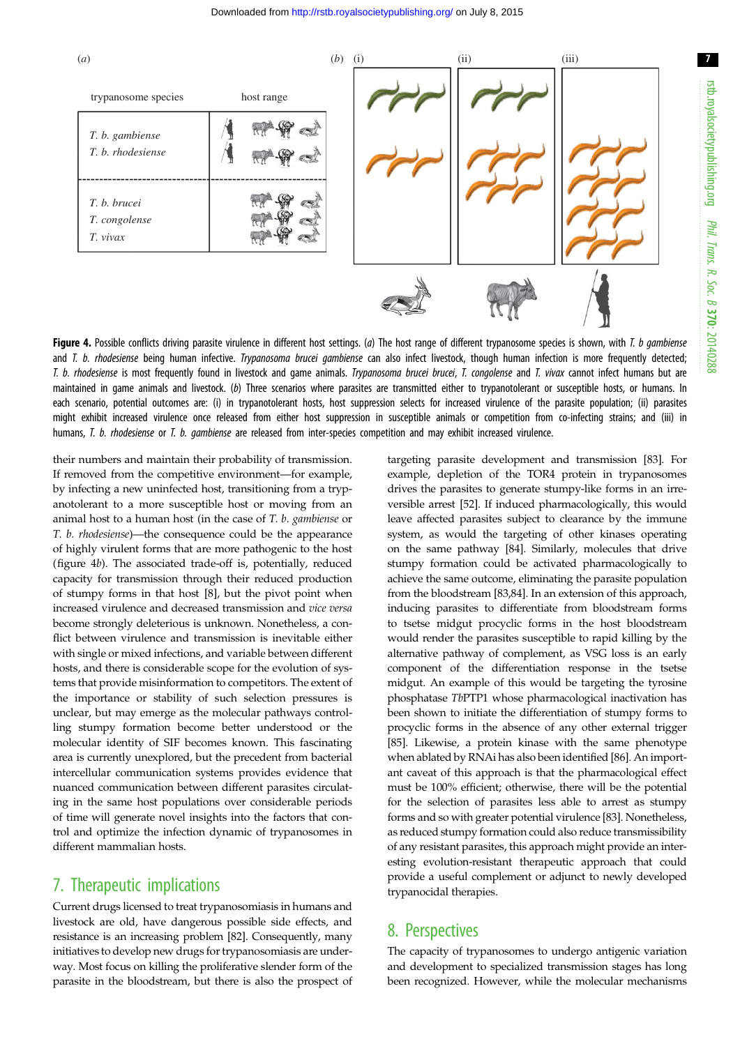<span id="page-7-0"></span>

Figure 4. Possible conflicts driving parasite virulence in different host settings. (a) The host range of different trypanosome species is shown, with T. b gambiense and T. b. rhodesiense being human infective. Trypanosoma brucei gambiense can also infect livestock, though human infection is more frequently detected; T. b. rhodesiense is most frequently found in livestock and game animals. Trypanosoma brucei brucei, T. congolense and T. vivax cannot infect humans but are maintained in game animals and livestock. (b) Three scenarios where parasites are transmitted either to trypanotolerant or susceptible hosts, or humans. In each scenario, potential outcomes are: (i) in trypanotolerant hosts, host suppression selects for increased virulence of the parasite population; (ii) parasites might exhibit increased virulence once released from either host suppression in susceptible animals or competition from co-infecting strains; and (iii) in humans, T. b. rhodesiense or T. b. gambiense are released from inter-species competition and may exhibit increased virulence.

their numbers and maintain their probability of transmission. If removed from the competitive environment—for example, by infecting a new uninfected host, transitioning from a trypanotolerant to a more susceptible host or moving from an animal host to a human host (in the case of T. b. gambiense or T. b. rhodesiense)—the consequence could be the appearance of highly virulent forms that are more pathogenic to the host (figure 4b). The associated trade-off is, potentially, reduced capacity for transmission through their reduced production of stumpy forms in that host [\[8\]](#page-8-0), but the pivot point when increased virulence and decreased transmission and vice versa become strongly deleterious is unknown. Nonetheless, a conflict between virulence and transmission is inevitable either with single or mixed infections, and variable between different hosts, and there is considerable scope for the evolution of systems that provide misinformation to competitors. The extent of the importance or stability of such selection pressures is unclear, but may emerge as the molecular pathways controlling stumpy formation become better understood or the molecular identity of SIF becomes known. This fascinating area is currently unexplored, but the precedent from bacterial intercellular communication systems provides evidence that nuanced communication between different parasites circulating in the same host populations over considerable periods of time will generate novel insights into the factors that control and optimize the infection dynamic of trypanosomes in different mammalian hosts.

### 7. Therapeutic implications

Current drugs licensed to treat trypanosomiasis in humans and livestock are old, have dangerous possible side effects, and resistance is an increasing problem [[82\]](#page-10-0). Consequently, many initiatives to develop new drugs for trypanosomiasis are underway. Most focus on killing the proliferative slender form of the parasite in the bloodstream, but there is also the prospect of targeting parasite development and transmission [[83\]](#page-10-0). For example, depletion of the TOR4 protein in trypanosomes drives the parasites to generate stumpy-like forms in an irreversible arrest [[52\]](#page-9-0). If induced pharmacologically, this would leave affected parasites subject to clearance by the immune system, as would the targeting of other kinases operating on the same pathway [\[84](#page-10-0)]. Similarly, molecules that drive stumpy formation could be activated pharmacologically to achieve the same outcome, eliminating the parasite population from the bloodstream [\[83,84](#page-10-0)]. In an extension of this approach, inducing parasites to differentiate from bloodstream forms to tsetse midgut procyclic forms in the host bloodstream would render the parasites susceptible to rapid killing by the alternative pathway of complement, as VSG loss is an early component of the differentiation response in the tsetse midgut. An example of this would be targeting the tyrosine phosphatase TbPTP1 whose pharmacological inactivation has been shown to initiate the differentiation of stumpy forms to procyclic forms in the absence of any other external trigger [[85](#page-10-0)]. Likewise, a protein kinase with the same phenotype when ablated by RNAi has also been identified [\[86](#page-10-0)]. An important caveat of this approach is that the pharmacological effect must be 100% efficient; otherwise, there will be the potential for the selection of parasites less able to arrest as stumpy forms and so with greater potential virulence [[83](#page-10-0)]. Nonetheless, as reduced stumpy formation could also reduce transmissibility of any resistant parasites, this approach might provide an interesting evolution-resistant therapeutic approach that could provide a useful complement or adjunct to newly developed trypanocidal therapies.

## 8. Perspectives

The capacity of trypanosomes to undergo antigenic variation and development to specialized transmission stages has long been recognized. However, while the molecular mechanisms 7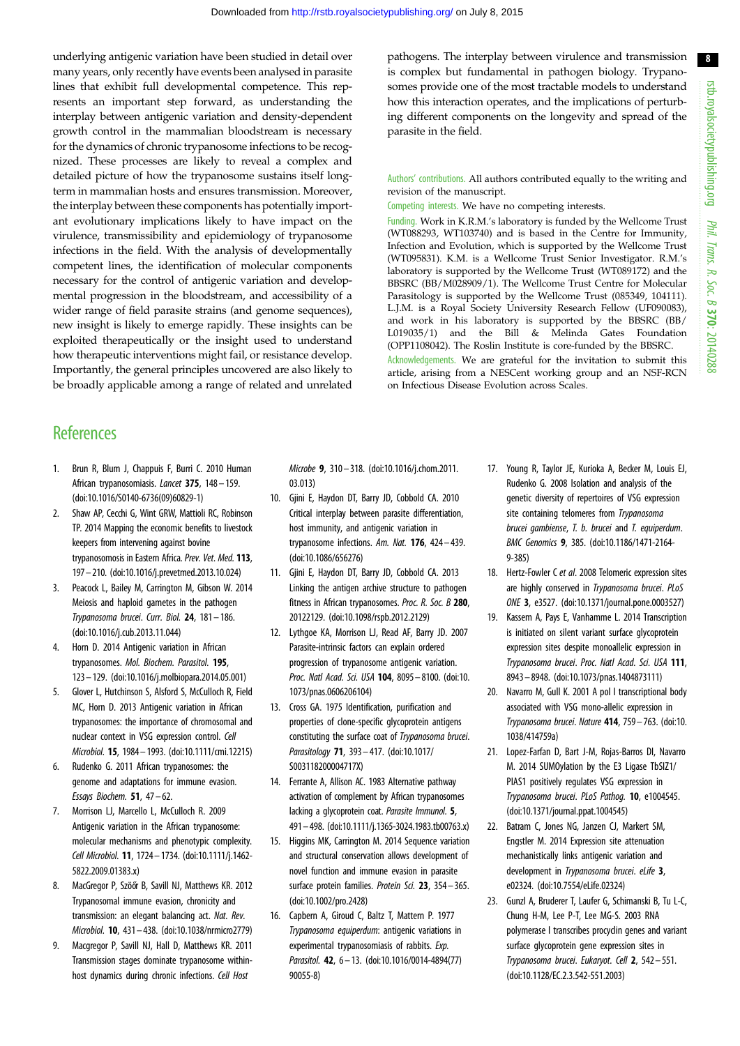<span id="page-8-0"></span>underlying antigenic variation have been studied in detail over many years, only recently have events been analysed in parasite lines that exhibit full developmental competence. This represents an important step forward, as understanding the interplay between antigenic variation and density-dependent growth control in the mammalian bloodstream is necessary for the dynamics of chronic trypanosome infections to be recognized. These processes are likely to reveal a complex and detailed picture of how the trypanosome sustains itself longterm in mammalian hosts and ensures transmission. Moreover, the interplay between these components has potentially important evolutionary implications likely to have impact on the virulence, transmissibility and epidemiology of trypanosome infections in the field. With the analysis of developmentally competent lines, the identification of molecular components necessary for the control of antigenic variation and developmental progression in the bloodstream, and accessibility of a wider range of field parasite strains (and genome sequences), new insight is likely to emerge rapidly. These insights can be exploited therapeutically or the insight used to understand how therapeutic interventions might fail, or resistance develop. Importantly, the general principles uncovered are also likely to be broadly applicable among a range of related and unrelated

pathogens. The interplay between virulence and transmission is complex but fundamental in pathogen biology. Trypanosomes provide one of the most tractable models to understand how this interaction operates, and the implications of perturbing different components on the longevity and spread of the parasite in the field.

Authors' contributions. All authors contributed equally to the writing and revision of the manuscript.

Competing interests. We have no competing interests.

Funding. Work in K.R.M.'s laboratory is funded by the Wellcome Trust (WT088293, WT103740) and is based in the Centre for Immunity, Infection and Evolution, which is supported by the Wellcome Trust (WT095831). K.M. is a Wellcome Trust Senior Investigator. R.M.'s laboratory is supported by the Wellcome Trust (WT089172) and the BBSRC (BB/M028909/1). The Wellcome Trust Centre for Molecular Parasitology is supported by the Wellcome Trust (085349, 104111). L.J.M. is a Royal Society University Research Fellow (UF090083), and work in his laboratory is supported by the BBSRC (BB/ L019035/1) and the Bill & Melinda Gates Foundation (OPP1108042). The Roslin Institute is core-funded by the BBSRC. Acknowledgements. We are grateful for the invitation to submit this article, arising from a NESCent working group and an NSF-RCN on Infectious Disease Evolution across Scales.

## **References**

- 1. Brun R, Blum J, Chappuis F, Burri C. 2010 Human African trypanosomiasis. Lancet 375, 148-159. [\(doi:10.1016/S0140-6736\(09\)60829-1](http://dx.doi.org/10.1016/S0140-6736(09)60829-1))
- 2. Shaw AP, Cecchi G, Wint GRW, Mattioli RC, Robinson TP. 2014 Mapping the economic benefits to livestock keepers from intervening against bovine trypanosomosis in Eastern Africa. Prev. Vet. Med. 113, 197–210. ([doi:10.1016/j.prevetmed.2013.10.024\)](http://dx.doi.org/10.1016/j.prevetmed.2013.10.024)
- 3. Peacock L, Bailey M, Carrington M, Gibson W. 2014 Meiosis and haploid gametes in the pathogen Trypanosoma brucei. Curr. Biol. 24, 181– 186. [\(doi:10.1016/j.cub.2013.11.044](http://dx.doi.org/10.1016/j.cub.2013.11.044))
- 4. Horn D. 2014 Antigenic variation in African trypanosomes. Mol. Biochem. Parasitol. 195, 123– 129. ([doi:10.1016/j.molbiopara.2014.05.001\)](http://dx.doi.org/10.1016/j.molbiopara.2014.05.001)
- 5. Glover L, Hutchinson S, Alsford S, McCulloch R, Field MC, Horn D. 2013 Antigenic variation in African trypanosomes: the importance of chromosomal and nuclear context in VSG expression control. Cell Microbiol. 15, 1984– 1993. [\(doi:10.1111/cmi.12215\)](http://dx.doi.org/10.1111/cmi.12215)
- 6. Rudenko G. 2011 African trypanosomes: the genome and adaptations for immune evasion. Essays Biochem.  $51, 47 - 62$ .
- 7. Morrison LJ, Marcello L, McCulloch R. 2009 Antigenic variation in the African trypanosome: molecular mechanisms and phenotypic complexity. Cell Microbiol. 11, 1724– 1734. [\(doi:10.1111/j.1462-](http://dx.doi.org/10.1111/j.1462-5822.2009.01383.x) [5822.2009.01383.x](http://dx.doi.org/10.1111/j.1462-5822.2009.01383.x))
- 8. MacGregor P, Szöőr B, Savill NJ, Matthews KR. 2012 Trypanosomal immune evasion, chronicity and transmission: an elegant balancing act. Nat. Rev. Microbiol. 10, 431– 438. [\(doi:10.1038/nrmicro2779\)](http://dx.doi.org/10.1038/nrmicro2779)
- 9. Macgregor P, Savill NJ, Hall D, Matthews KR. 2011 Transmission stages dominate trypanosome withinhost dynamics during chronic infections. Cell Host

Microbe 9, 310– 318. ([doi:10.1016/j.chom.2011.](http://dx.doi.org/10.1016/j.chom.2011.03.013) [03.013](http://dx.doi.org/10.1016/j.chom.2011.03.013))

- 10. Gjini E, Haydon DT, Barry JD, Cobbold CA. 2010 Critical interplay between parasite differentiation, host immunity, and antigenic variation in trypanosome infections. Am. Nat. 176, 424– 439. [\(doi:10.1086/656276\)](http://dx.doi.org/10.1086/656276)
- 11. Gjini E, Haydon DT, Barry JD, Cobbold CA. 2013 Linking the antigen archive structure to pathogen fitness in African trypanosomes. Proc. R. Soc. B 280, 20122129. ([doi:10.1098/rspb.2012.2129\)](http://dx.doi.org/10.1098/rspb.2012.2129)
- 12. Lythgoe KA, Morrison LJ, Read AF, Barry JD. 2007 Parasite-intrinsic factors can explain ordered progression of trypanosome antigenic variation. Proc. Natl Acad. Sci. USA 104, 8095– 8100. [\(doi:10.](http://dx.doi.org/10.1073/pnas.0606206104) [1073/pnas.0606206104](http://dx.doi.org/10.1073/pnas.0606206104))
- 13. Cross GA. 1975 Identification, purification and properties of clone-specific glycoprotein antigens constituting the surface coat of Trypanosoma brucei. Parasitology **71**, 393-417. [\(doi:10.1017/](http://dx.doi.org/10.1017/S003118200004717X) [S003118200004717X](http://dx.doi.org/10.1017/S003118200004717X))
- 14. Ferrante A, Allison AC. 1983 Alternative pathway activation of complement by African trypanosomes lacking a glycoprotein coat. Parasite Immunol. 5, 491– 498. [\(doi:10.1111/j.1365-3024.1983.tb00763.x](http://dx.doi.org/10.1111/j.1365-3024.1983.tb00763.x))
- 15. Higgins MK, Carrington M. 2014 Sequence variation and structural conservation allows development of novel function and immune evasion in parasite surface protein families. Protein Sci. 23, 354-365. [\(doi:10.1002/pro.2428\)](http://dx.doi.org/10.1002/pro.2428)
- 16. Capbern A, Giroud C, Baltz T, Mattern P. 1977 Trypanosoma equiperdum: antigenic variations in experimental trypanosomiasis of rabbits. Exp. Parasitol. 42, 6– 13. [\(doi:10.1016/0014-4894\(77\)](http://dx.doi.org/10.1016/0014-4894(77)90055-8) [90055-8\)](http://dx.doi.org/10.1016/0014-4894(77)90055-8)
- 17. Young R, Taylor JE, Kurioka A, Becker M, Louis EJ, Rudenko G. 2008 Isolation and analysis of the genetic diversity of repertoires of VSG expression site containing telomeres from Trypanosoma brucei gambiense, T. b. brucei and T. equiperdum. BMC Genomics 9, 385. ([doi:10.1186/1471-2164-](http://dx.doi.org/10.1186/1471-2164-9-385) [9-385\)](http://dx.doi.org/10.1186/1471-2164-9-385)
- 18. Hertz-Fowler C et al. 2008 Telomeric expression sites are highly conserved in Trypanosoma brucei. PLoS ONE 3, e3527. ([doi:10.1371/journal.pone.0003527](http://dx.doi.org/10.1371/journal.pone.0003527))
- 19. Kassem A, Pays E, Vanhamme L. 2014 Transcription is initiated on silent variant surface glycoprotein expression sites despite monoallelic expression in Trypanosoma brucei. Proc. Natl Acad. Sci. USA 111, 8943– 8948. ([doi:10.1073/pnas.1404873111\)](http://dx.doi.org/10.1073/pnas.1404873111)
- 20. Navarro M, Gull K. 2001 A pol I transcriptional body associated with VSG mono-allelic expression in Trypanosoma brucei. Nature 414, 759– 763. [\(doi:10.](http://dx.doi.org/10.1038/414759a) [1038/414759a](http://dx.doi.org/10.1038/414759a))
- 21. Lopez-Farfan D, Bart J-M, Rojas-Barros DI, Navarro M. 2014 SUMOylation by the E3 Ligase TbSIZ1/ PIAS1 positively regulates VSG expression in Trypanosoma brucei. PLoS Pathog. 10, e1004545. ([doi:10.1371/journal.ppat.1004545](http://dx.doi.org/10.1371/journal.ppat.1004545))
- 22. Batram C, Jones NG, Janzen CJ, Markert SM, Engstler M. 2014 Expression site attenuation mechanistically links antigenic variation and development in Trypanosoma brucei. eLife 3, e02324. ([doi:10.7554/eLife.02324\)](http://dx.doi.org/10.7554/eLife.02324)
- 23. Gunzl A, Bruderer T, Laufer G, Schimanski B, Tu L-C, Chung H-M, Lee P-T, Lee MG-S. 2003 RNA polymerase I transcribes procyclin genes and variant surface glycoprotein gene expression sites in Trypanosoma brucei. Eukaryot. Cell 2, 542– 551. ([doi:10.1128/EC.2.3.542-551.2003\)](http://dx.doi.org/10.1128/EC.2.3.542-551.2003)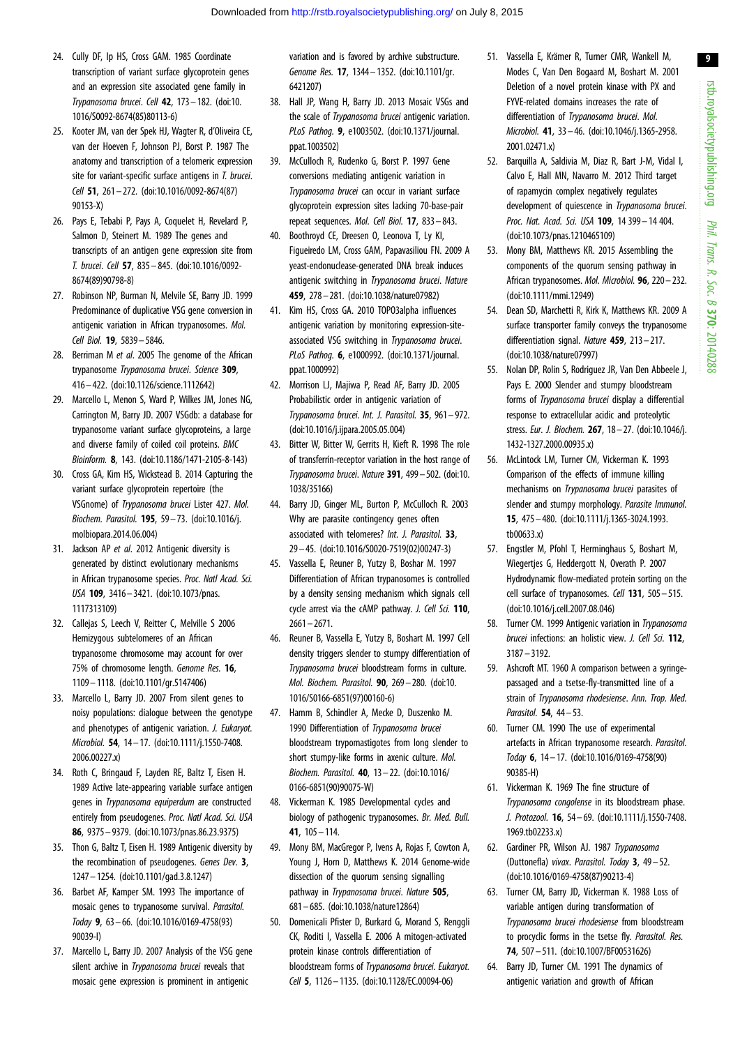- <span id="page-9-0"></span>24. Cully DF, Ip HS, Cross GAM. 1985 Coordinate transcription of variant surface glycoprotein genes and an expression site associated gene family in Trypanosoma brucei. Cell  $42$ ,  $173 - 182$ . ([doi:10.](http://dx.doi.org/10.1016/S0092-8674(85)80113-6) [1016/S0092-8674\(85\)80113-6\)](http://dx.doi.org/10.1016/S0092-8674(85)80113-6)
- 25. Kooter JM, van der Spek HJ, Wagter R, d'Oliveira CE, van der Hoeven F, Johnson PJ, Borst P. 1987 The anatomy and transcription of a telomeric expression site for variant-specific surface antigens in T. brucei. Cell 51, 261– 272. ([doi:10.1016/0092-8674\(87\)](http://dx.doi.org/10.1016/0092-8674(87)90153-X) [90153-X\)](http://dx.doi.org/10.1016/0092-8674(87)90153-X)
- 26. Pays E, Tebabi P, Pays A, Coquelet H, Revelard P, Salmon D, Steinert M. 1989 The genes and transcripts of an antigen gene expression site from T. brucei. Cell 57, 835 – 845. [\(doi:10.1016/0092-](http://dx.doi.org/10.1016/0092-8674(89)90798-8) [8674\(89\)90798-8\)](http://dx.doi.org/10.1016/0092-8674(89)90798-8)
- 27. Robinson NP, Burman N, Melvile SE, Barry JD. 1999 Predominance of duplicative VSG gene conversion in antigenic variation in African trypanosomes. Mol. Cell Biol. 19, 5839 – 5846.
- 28. Berriman M et al. 2005 The genome of the African trypanosome Trypanosoma brucei. Science 309, 416– 422. ([doi:10.1126/science.1112642\)](http://dx.doi.org/10.1126/science.1112642)
- 29. Marcello L, Menon S, Ward P, Wilkes JM, Jones NG, Carrington M, Barry JD. 2007 VSGdb: a database for trypanosome variant surface glycoproteins, a large and diverse family of coiled coil proteins. BMC Bioinform. 8, 143. ([doi:10.1186/1471-2105-8-143\)](http://dx.doi.org/10.1186/1471-2105-8-143)
- 30. Cross GA, Kim HS, Wickstead B. 2014 Capturing the variant surface glycoprotein repertoire (the VSGnome) of Trypanosoma brucei Lister 427. Mol. Biochem. Parasitol. 195, 59 – 73. [\(doi:10.1016/j.](http://dx.doi.org/10.1016/j.molbiopara.2014.06.004) [molbiopara.2014.06.004](http://dx.doi.org/10.1016/j.molbiopara.2014.06.004))
- 31. Jackson AP et al. 2012 Antigenic diversity is generated by distinct evolutionary mechanisms in African trypanosome species. Proc. Natl Acad. Sci. USA 109, 3416 – 3421. ([doi:10.1073/pnas.](http://dx.doi.org/10.1073/pnas.1117313109) [1117313109\)](http://dx.doi.org/10.1073/pnas.1117313109)
- 32. Callejas S, Leech V, Reitter C, Melville S 2006 Hemizygous subtelomeres of an African trypanosome chromosome may account for over 75% of chromosome length. Genome Res. 16, 1109 – 1118. [\(doi:10.1101/gr.5147406\)](http://dx.doi.org/10.1101/gr.5147406)
- 33. Marcello L, Barry JD. 2007 From silent genes to noisy populations: dialogue between the genotype and phenotypes of antigenic variation. J. Eukaryot. Microbiol. 54, 14 – 17. [\(doi:10.1111/j.1550-7408.](http://dx.doi.org/10.1111/j.1550-7408.2006.00227.x) [2006.00227.x\)](http://dx.doi.org/10.1111/j.1550-7408.2006.00227.x)
- 34. Roth C, Bringaud F, Layden RE, Baltz T, Eisen H. 1989 Active late-appearing variable surface antigen genes in *Trypanosoma equiperdum* are constructed entirely from pseudogenes. Proc. Natl Acad. Sci. USA 86, 9375– 9379. [\(doi:10.1073/pnas.86.23.9375\)](http://dx.doi.org/10.1073/pnas.86.23.9375)
- 35. Thon G, Baltz T, Eisen H. 1989 Antigenic diversity by the recombination of pseudogenes. Genes Dev. 3, 1247 – 1254. [\(doi:10.1101/gad.3.8.1247](http://dx.doi.org/10.1101/gad.3.8.1247))
- 36. Barbet AF, Kamper SM. 1993 The importance of mosaic genes to trypanosome survival. Parasitol. Today 9, 63– 66. ([doi:10.1016/0169-4758\(93\)](http://dx.doi.org/10.1016/0169-4758(93)90039-I) [90039-I](http://dx.doi.org/10.1016/0169-4758(93)90039-I))
- 37. Marcello L, Barry JD. 2007 Analysis of the VSG gene silent archive in Trypanosoma brucei reveals that mosaic gene expression is prominent in antigenic

variation and is favored by archive substructure. Genome Res. 17, 1344– 1352. ([doi:10.1101/gr.](http://dx.doi.org/10.1101/gr.6421207) [6421207\)](http://dx.doi.org/10.1101/gr.6421207)

- 38. Hall JP, Wang H, Barry JD. 2013 Mosaic VSGs and the scale of Trypanosoma brucei antigenic variation. PLoS Pathog. 9, e1003502. [\(doi:10.1371/journal.](http://dx.doi.org/10.1371/journal.ppat.1003502) [ppat.1003502\)](http://dx.doi.org/10.1371/journal.ppat.1003502)
- 39. McCulloch R, Rudenko G, Borst P. 1997 Gene conversions mediating antigenic variation in Trypanosoma brucei can occur in variant surface glycoprotein expression sites lacking 70-base-pair repeat sequences. Mol. Cell Biol. 17, 833 – 843.
- 40. Boothroyd CE, Dreesen O, Leonova T, Ly KI, Figueiredo LM, Cross GAM, Papavasiliou FN. 2009 A yeast-endonuclease-generated DNA break induces antigenic switching in Trypanosoma brucei. Nature 459, 278 – 281. [\(doi:10.1038/nature07982](http://dx.doi.org/10.1038/nature07982))
- 41. Kim HS, Cross GA. 2010 TOPO3alpha influences antigenic variation by monitoring expression-siteassociated VSG switching in Trypanosoma brucei. PLoS Pathog. 6, e1000992. [\(doi:10.1371/journal.](http://dx.doi.org/10.1371/journal.ppat.1000992) [ppat.1000992\)](http://dx.doi.org/10.1371/journal.ppat.1000992)
- 42. Morrison LJ, Majiwa P, Read AF, Barry JD. 2005 Probabilistic order in antigenic variation of Trypanosoma brucei. Int. J. Parasitol. 35, 961– 972. [\(doi:10.1016/j.ijpara.2005.05.004\)](http://dx.doi.org/10.1016/j.ijpara.2005.05.004)
- 43. Bitter W, Bitter W, Gerrits H, Kieft R. 1998 The role of transferrin-receptor variation in the host range of Trypanosoma brucei. Nature 391, 499– 502. [\(doi:10.](http://dx.doi.org/10.1038/35166) [1038/35166\)](http://dx.doi.org/10.1038/35166)
- 44. Barry JD, Ginger ML, Burton P, McCulloch R. 2003 Why are parasite contingency genes often associated with telomeres? Int. J. Parasitol. 33, 29 – 45. ([doi:10.1016/S0020-7519\(02\)00247-3\)](http://dx.doi.org/10.1016/S0020-7519(02)00247-3)
- 45. Vassella E, Reuner B, Yutzy B, Boshar M. 1997 Differentiation of African trypanosomes is controlled by a density sensing mechanism which signals cell cycle arrest via the cAMP pathway. J. Cell Sci. 110,  $2661 - 2671.$
- 46. Reuner B, Vassella E, Yutzy B, Boshart M. 1997 Cell density triggers slender to stumpy differentiation of Trypanosoma brucei bloodstream forms in culture. Mol. Biochem. Parasitol. 90, 269– 280. ([doi:10.](http://dx.doi.org/10.1016/S0166-6851(97)00160-6) [1016/S0166-6851\(97\)00160-6](http://dx.doi.org/10.1016/S0166-6851(97)00160-6))
- 47. Hamm B, Schindler A, Mecke D, Duszenko M. 1990 Differentiation of Trypanosoma brucei bloodstream trypomastigotes from long slender to short stumpy-like forms in axenic culture. Mol. Biochem. Parasitol. 40, 13 – 22. [\(doi:10.1016/](http://dx.doi.org/10.1016/0166-6851(90)90075-W) [0166-6851\(90\)90075-W\)](http://dx.doi.org/10.1016/0166-6851(90)90075-W)
- 48. Vickerman K. 1985 Developmental cycles and biology of pathogenic trypanosomes. Br. Med. Bull. 41, 105– 114.
- 49. Mony BM, MacGregor P, Ivens A, Rojas F, Cowton A, Young J, Horn D, Matthews K. 2014 Genome-wide dissection of the quorum sensing signalling pathway in *Trypanosoma brucei*. Nature 505, 681 – 685. [\(doi:10.1038/nature12864](http://dx.doi.org/10.1038/nature12864))
- 50. Domenicali Pfister D, Burkard G, Morand S, Renggli CK, Roditi I, Vassella E. 2006 A mitogen-activated protein kinase controls differentiation of bloodstream forms of Trypanosoma brucei. Eukaryot. Cell 5, 1126– 1135. ([doi:10.1128/EC.00094-06](http://dx.doi.org/10.1128/EC.00094-06))
- 51. Vassella E, Krämer R, Turner CMR, Wankell M, Modes C, Van Den Bogaard M, Boshart M. 2001 Deletion of a novel protein kinase with PX and FYVE-related domains increases the rate of differentiation of Trypanosoma brucei. Mol. Microbiol. 41, 33 – 46. ([doi:10.1046/j.1365-2958.](http://dx.doi.org/10.1046/j.1365-2958.2001.02471.x) [2001.02471.x](http://dx.doi.org/10.1046/j.1365-2958.2001.02471.x))
- 52. Barquilla A, Saldivia M, Diaz R, Bart J-M, Vidal I, Calvo E, Hall MN, Navarro M. 2012 Third target of rapamycin complex negatively regulates development of quiescence in Trypanosoma brucei. Proc. Nat. Acad. Sci. USA 109, 14 399– 14 404. ([doi:10.1073/pnas.1210465109\)](http://dx.doi.org/10.1073/pnas.1210465109)
- 53. Mony BM, Matthews KR. 2015 Assembling the components of the quorum sensing pathway in African trypanosomes. Mol. Microbiol. 96, 220 – 232. ([doi:10.1111/mmi.12949\)](http://dx.doi.org/10.1111/mmi.12949)
- 54. Dean SD, Marchetti R, Kirk K, Matthews KR. 2009 A surface transporter family conveys the trypanosome differentiation signal. Nature 459, 213-217. ([doi:10.1038/nature07997\)](http://dx.doi.org/10.1038/nature07997)
- 55. Nolan DP, Rolin S, Rodriguez JR, Van Den Abbeele J, Pays E. 2000 Slender and stumpy bloodstream forms of Trypanosoma brucei display a differential response to extracellular acidic and proteolytic stress. Eur. J. Biochem. 267, 18 – 27. ([doi:10.1046/j.](http://dx.doi.org/10.1046/j.1432-1327.2000.00935.x) [1432-1327.2000.00935.x\)](http://dx.doi.org/10.1046/j.1432-1327.2000.00935.x)
- 56. McLintock LM, Turner CM, Vickerman K. 1993 Comparison of the effects of immune killing mechanisms on Trypanosoma brucei parasites of slender and stumpy morphology. Parasite Immunol. 15, 475 – 480. [\(doi:10.1111/j.1365-3024.1993.](http://dx.doi.org/10.1111/j.1365-3024.1993.tb00633.x) [tb00633.x](http://dx.doi.org/10.1111/j.1365-3024.1993.tb00633.x))
- 57. Engstler M, Pfohl T, Herminghaus S, Boshart M, Wiegertjes G, Heddergott N, Overath P. 2007 Hydrodynamic flow-mediated protein sorting on the cell surface of trypanosomes. Cell 131, 505-515. ([doi:10.1016/j.cell.2007.08.046](http://dx.doi.org/10.1016/j.cell.2007.08.046))
- 58. Turner CM. 1999 Antigenic variation in Trypanosoma brucei infections: an holistic view. J. Cell Sci. 112. 3187– 3192.
- 59. Ashcroft MT. 1960 A comparison between a syringepassaged and a tsetse-fly-transmitted line of a strain of Trypanosoma rhodesiense. Ann. Trop. Med. Parasitol. 54, 44 – 53.
- 60. Turner CM. 1990 The use of experimental artefacts in African trypanosome research. Parasitol. Today 6, 14 – 17. ([doi:10.1016/0169-4758\(90\)](http://dx.doi.org/10.1016/0169-4758(90)90385-H) [90385-H](http://dx.doi.org/10.1016/0169-4758(90)90385-H))
- 61. Vickerman K. 1969 The fine structure of Trypanosoma congolense in its bloodstream phase. J. Protozool. 16, 54– 69. [\(doi:10.1111/j.1550-7408.](http://dx.doi.org/10.1111/j.1550-7408.1969.tb02233.x) [1969.tb02233.x](http://dx.doi.org/10.1111/j.1550-7408.1969.tb02233.x))
- 62. Gardiner PR, Wilson AJ. 1987 Trypanosoma (Duttonefla) vivax. Parasitol. Today 3, 49 – 52. ([doi:10.1016/0169-4758\(87\)90213-4\)](http://dx.doi.org/10.1016/0169-4758(87)90213-4)
- 63. Turner CM, Barry JD, Vickerman K. 1988 Loss of variable antigen during transformation of Trypanosoma brucei rhodesiense from bloodstream to procyclic forms in the tsetse fly. Parasitol. Res. 74, 507 – 511. [\(doi:10.1007/BF00531626\)](http://dx.doi.org/10.1007/BF00531626)
- 64. Barry JD, Turner CM. 1991 The dynamics of antigenic variation and growth of African